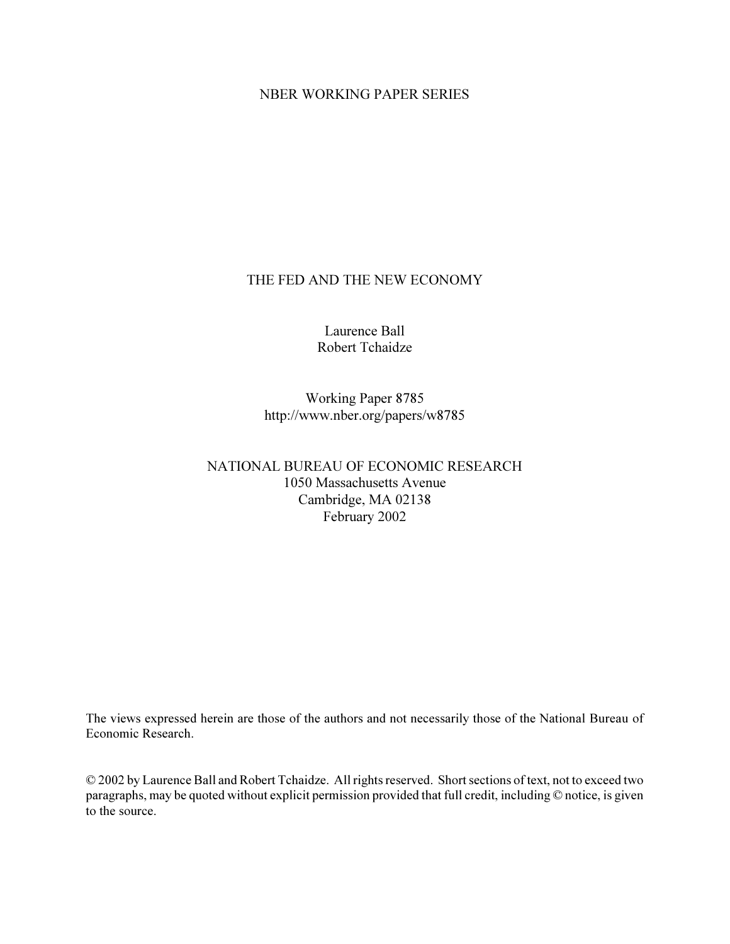## NBER WORKING PAPER SERIES

## THE FED AND THE NEW ECONOMY

Laurence Ball Robert Tchaidze

Working Paper 8785 http://www.nber.org/papers/w8785

# NATIONAL BUREAU OF ECONOMIC RESEARCH 1050 Massachusetts Avenue Cambridge, MA 02138 February 2002

The views expressed herein are those of the authors and not necessarily those of the National Bureau of Economic Research.

© 2002 by Laurence Ball and Robert Tchaidze. All rights reserved. Short sections of text, not to exceed two paragraphs, may be quoted without explicit permission provided that full credit, including © notice, is given to the source.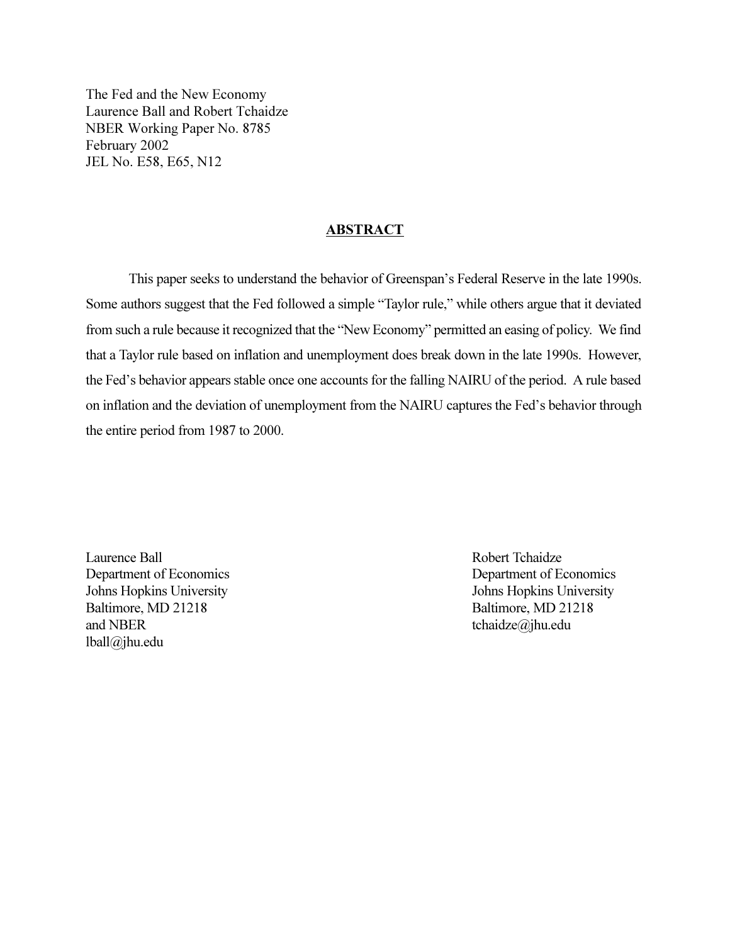The Fed and the New Economy Laurence Ball and Robert Tchaidze NBER Working Paper No. 8785 February 2002 JEL No. E58, E65, N12

### ABSTRACT

This paper seeks to understand the behavior of Greenspan's Federal Reserve in the late 1990s. Some authors suggest that the Fed followed a simple "Taylor rule," while others argue that it deviated from such a rule because it recognized that the "New Economy" permitted an easing of policy. We find that a Taylor rule based on inflation and unemployment does break down in the late 1990s. However, the Fed's behavior appears stable once one accounts for the falling NAIRU of the period. A rule based on inflation and the deviation of unemployment from the NAIRU captures the Fed's behavior through the entire period from 1987 to 2000.

Laurence Ball **Robert Tchaidze** Department of Economics Department of Economics Johns Hopkins University Johns Hopkins University Baltimore, MD 21218 Baltimore, MD 21218 and NBER tchaidze $\omega$ jhu.edu lball@jhu.edu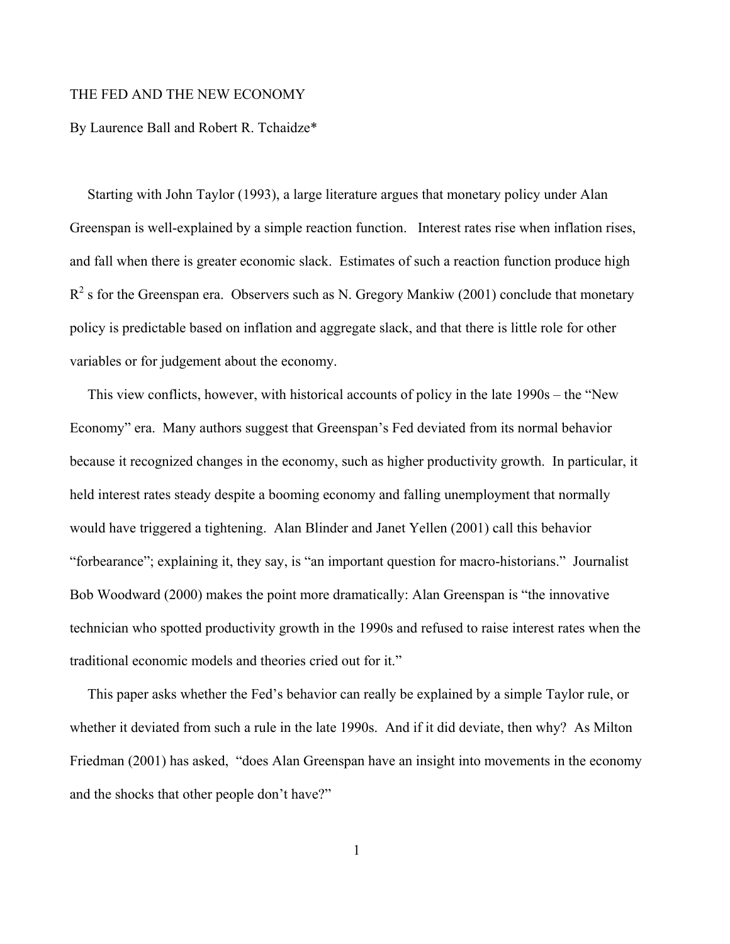### THE FED AND THE NEW ECONOMY

## By Laurence Ball and Robert R. Tchaidze\*

 Starting with John Taylor (1993), a large literature argues that monetary policy under Alan Greenspan is well-explained by a simple reaction function. Interest rates rise when inflation rises, and fall when there is greater economic slack. Estimates of such a reaction function produce high  $R<sup>2</sup>$  s for the Greenspan era. Observers such as N. Gregory Mankiw (2001) conclude that monetary policy is predictable based on inflation and aggregate slack, and that there is little role for other variables or for judgement about the economy.

 This view conflicts, however, with historical accounts of policy in the late 1990s – the "New Economy" era. Many authors suggest that Greenspan's Fed deviated from its normal behavior because it recognized changes in the economy, such as higher productivity growth. In particular, it held interest rates steady despite a booming economy and falling unemployment that normally would have triggered a tightening. Alan Blinder and Janet Yellen (2001) call this behavior "forbearance"; explaining it, they say, is "an important question for macro-historians." Journalist Bob Woodward (2000) makes the point more dramatically: Alan Greenspan is "the innovative technician who spotted productivity growth in the 1990s and refused to raise interest rates when the traditional economic models and theories cried out for it."

 This paper asks whether the Fed's behavior can really be explained by a simple Taylor rule, or whether it deviated from such a rule in the late 1990s. And if it did deviate, then why? As Milton Friedman (2001) has asked, "does Alan Greenspan have an insight into movements in the economy and the shocks that other people don't have?"

1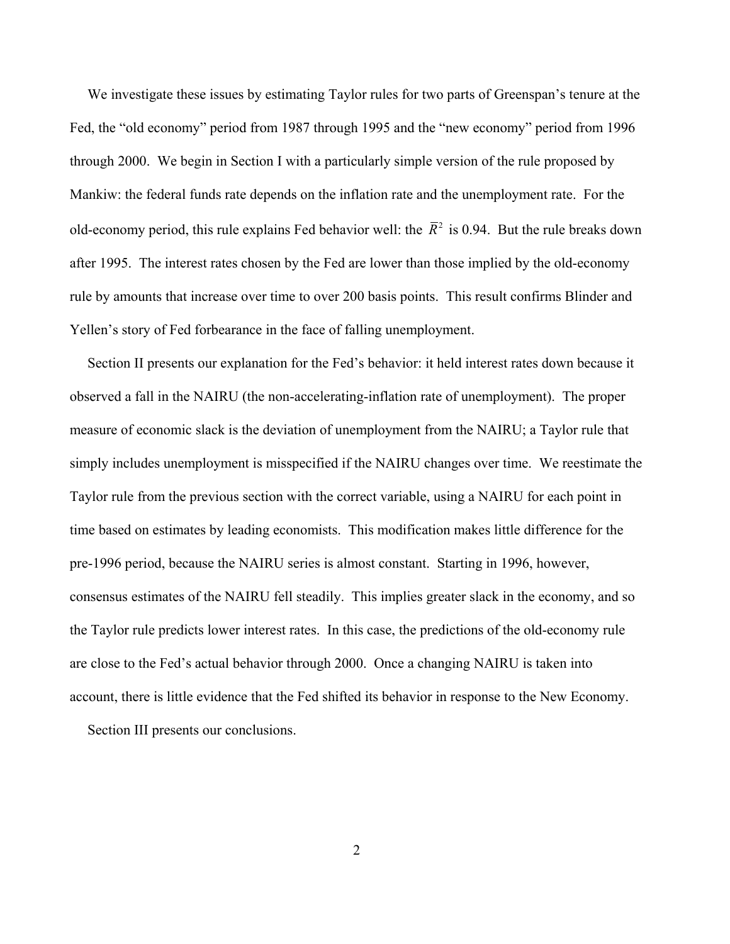We investigate these issues by estimating Taylor rules for two parts of Greenspan's tenure at the Fed, the "old economy" period from 1987 through 1995 and the "new economy" period from 1996 through 2000. We begin in Section I with a particularly simple version of the rule proposed by Mankiw: the federal funds rate depends on the inflation rate and the unemployment rate. For the old-economy period, this rule explains Fed behavior well: the  $\bar{R}^2$  is 0.94. But the rule breaks down after 1995. The interest rates chosen by the Fed are lower than those implied by the old-economy rule by amounts that increase over time to over 200 basis points. This result confirms Blinder and Yellen's story of Fed forbearance in the face of falling unemployment.

 Section II presents our explanation for the Fed's behavior: it held interest rates down because it observed a fall in the NAIRU (the non-accelerating-inflation rate of unemployment). The proper measure of economic slack is the deviation of unemployment from the NAIRU; a Taylor rule that simply includes unemployment is misspecified if the NAIRU changes over time. We reestimate the Taylor rule from the previous section with the correct variable, using a NAIRU for each point in time based on estimates by leading economists. This modification makes little difference for the pre-1996 period, because the NAIRU series is almost constant. Starting in 1996, however, consensus estimates of the NAIRU fell steadily. This implies greater slack in the economy, and so the Taylor rule predicts lower interest rates. In this case, the predictions of the old-economy rule are close to the Fed's actual behavior through 2000. Once a changing NAIRU is taken into account, there is little evidence that the Fed shifted its behavior in response to the New Economy.

Section III presents our conclusions.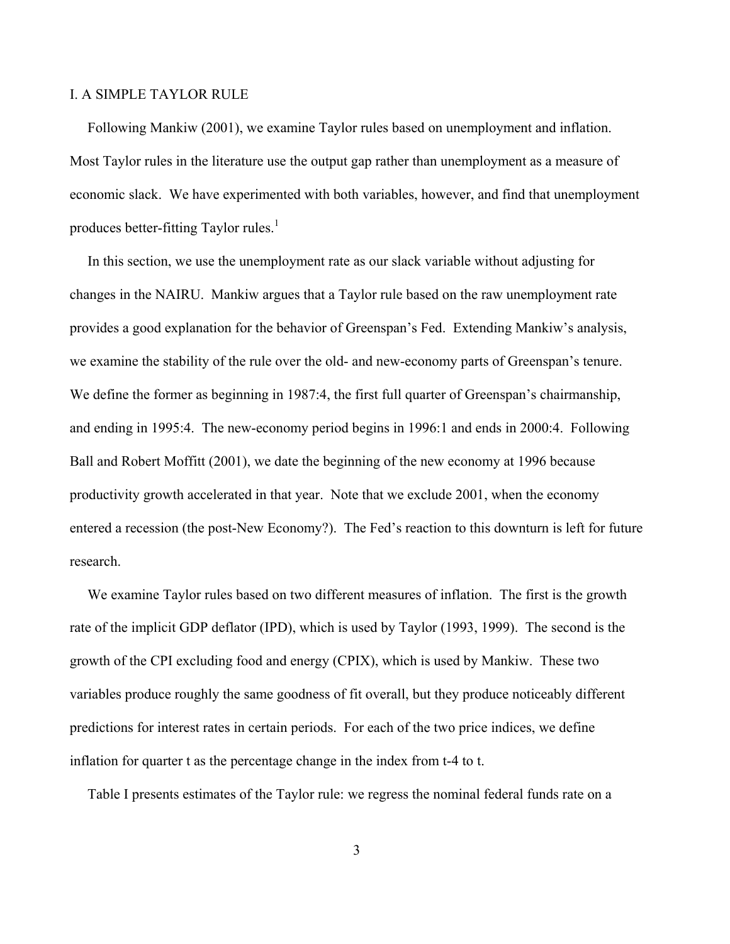### I. A SIMPLE TAYLOR RULE

 Following Mankiw (2001), we examine Taylor rules based on unemployment and inflation. Most Taylor rules in the literature use the output gap rather than unemployment as a measure of economic slack. We have experimented with both variables, however, and find that unemployment produces better-fitting Taylor rules.<sup>1</sup>

 In this section, we use the unemployment rate as our slack variable without adjusting for changes in the NAIRU. Mankiw argues that a Taylor rule based on the raw unemployment rate provides a good explanation for the behavior of Greenspan's Fed. Extending Mankiw's analysis, we examine the stability of the rule over the old- and new-economy parts of Greenspan's tenure. We define the former as beginning in 1987:4, the first full quarter of Greenspan's chairmanship, and ending in 1995:4. The new-economy period begins in 1996:1 and ends in 2000:4. Following Ball and Robert Moffitt (2001), we date the beginning of the new economy at 1996 because productivity growth accelerated in that year. Note that we exclude 2001, when the economy entered a recession (the post-New Economy?). The Fed's reaction to this downturn is left for future research.

 We examine Taylor rules based on two different measures of inflation. The first is the growth rate of the implicit GDP deflator (IPD), which is used by Taylor (1993, 1999). The second is the growth of the CPI excluding food and energy (CPIX), which is used by Mankiw. These two variables produce roughly the same goodness of fit overall, but they produce noticeably different predictions for interest rates in certain periods. For each of the two price indices, we define inflation for quarter t as the percentage change in the index from t-4 to t.

Table I presents estimates of the Taylor rule: we regress the nominal federal funds rate on a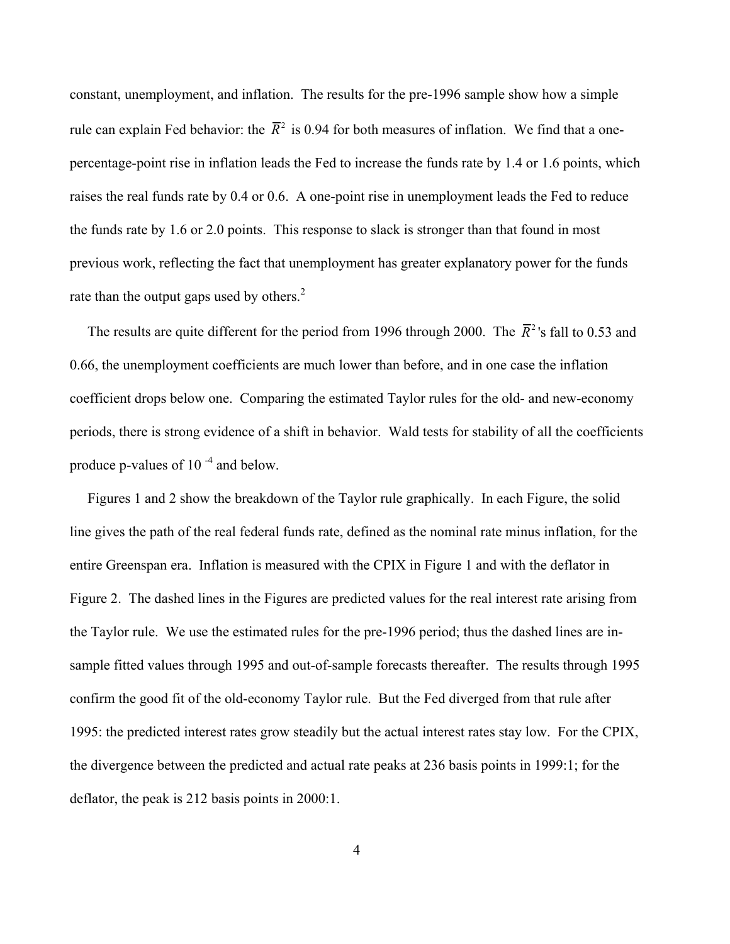constant, unemployment, and inflation. The results for the pre-1996 sample show how a simple rule can explain Fed behavior: the  $\bar{R}^2$  is 0.94 for both measures of inflation. We find that a onepercentage-point rise in inflation leads the Fed to increase the funds rate by 1.4 or 1.6 points, which raises the real funds rate by 0.4 or 0.6. A one-point rise in unemployment leads the Fed to reduce the funds rate by 1.6 or 2.0 points. This response to slack is stronger than that found in most previous work, reflecting the fact that unemployment has greater explanatory power for the funds rate than the output gaps used by others. $2^2$ 

The results are quite different for the period from 1996 through 2000. The  $\bar{R}^2$ 's fall to 0.53 and 0.66, the unemployment coefficients are much lower than before, and in one case the inflation coefficient drops below one. Comparing the estimated Taylor rules for the old- and new-economy periods, there is strong evidence of a shift in behavior. Wald tests for stability of all the coefficients produce p-values of  $10^{-4}$  and below.

 Figures 1 and 2 show the breakdown of the Taylor rule graphically. In each Figure, the solid line gives the path of the real federal funds rate, defined as the nominal rate minus inflation, for the entire Greenspan era. Inflation is measured with the CPIX in Figure 1 and with the deflator in Figure 2. The dashed lines in the Figures are predicted values for the real interest rate arising from the Taylor rule. We use the estimated rules for the pre-1996 period; thus the dashed lines are insample fitted values through 1995 and out-of-sample forecasts thereafter. The results through 1995 confirm the good fit of the old-economy Taylor rule. But the Fed diverged from that rule after 1995: the predicted interest rates grow steadily but the actual interest rates stay low. For the CPIX, the divergence between the predicted and actual rate peaks at 236 basis points in 1999:1; for the deflator, the peak is 212 basis points in 2000:1.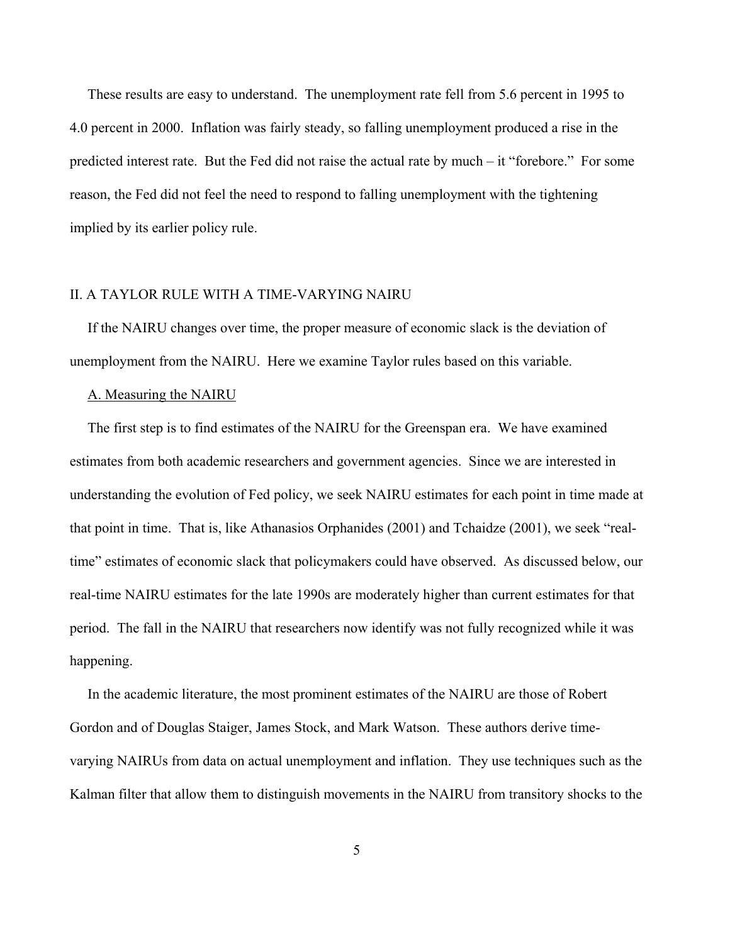These results are easy to understand. The unemployment rate fell from 5.6 percent in 1995 to 4.0 percent in 2000. Inflation was fairly steady, so falling unemployment produced a rise in the predicted interest rate. But the Fed did not raise the actual rate by much – it "forebore." For some reason, the Fed did not feel the need to respond to falling unemployment with the tightening implied by its earlier policy rule.

# II. A TAYLOR RULE WITH A TIME-VARYING NAIRU

 If the NAIRU changes over time, the proper measure of economic slack is the deviation of unemployment from the NAIRU. Here we examine Taylor rules based on this variable.

### A. Measuring the NAIRU

 The first step is to find estimates of the NAIRU for the Greenspan era. We have examined estimates from both academic researchers and government agencies. Since we are interested in understanding the evolution of Fed policy, we seek NAIRU estimates for each point in time made at that point in time. That is, like Athanasios Orphanides (2001) and Tchaidze (2001), we seek "realtime" estimates of economic slack that policymakers could have observed. As discussed below, our real-time NAIRU estimates for the late 1990s are moderately higher than current estimates for that period. The fall in the NAIRU that researchers now identify was not fully recognized while it was happening.

 In the academic literature, the most prominent estimates of the NAIRU are those of Robert Gordon and of Douglas Staiger, James Stock, and Mark Watson. These authors derive timevarying NAIRUs from data on actual unemployment and inflation. They use techniques such as the Kalman filter that allow them to distinguish movements in the NAIRU from transitory shocks to the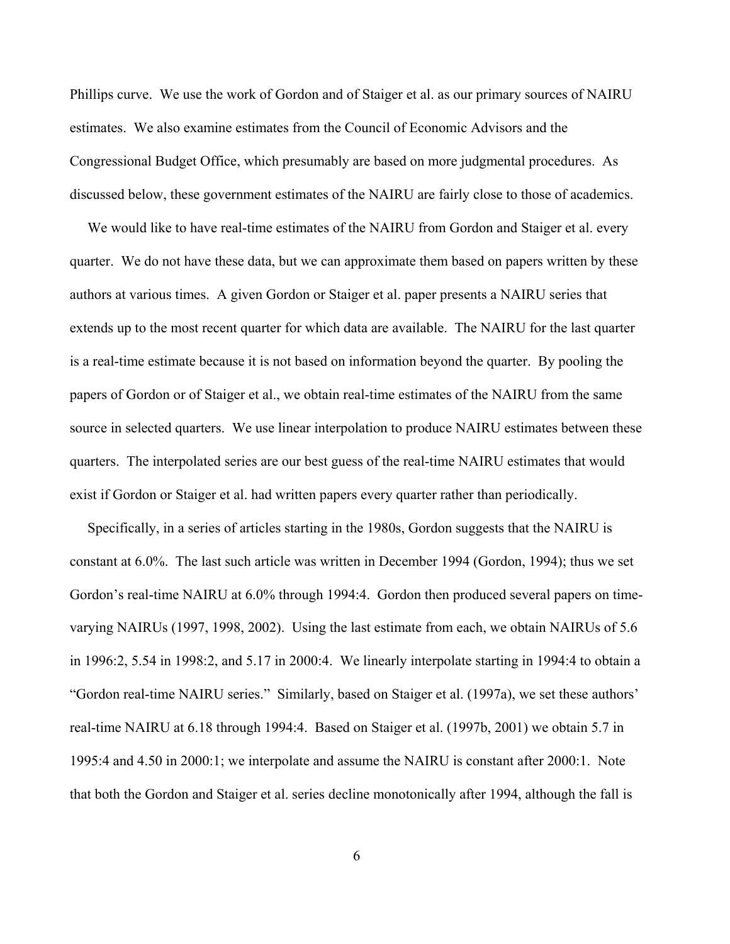Phillips curve. We use the work of Gordon and of Staiger et al. as our primary sources of NAIRU estimates. We also examine estimates from the Council of Economic Advisors and the Congressional Budget Office, which presumably are based on more judgmental procedures. As discussed below, these government estimates of the NAIRU are fairly close to those of academics.

 We would like to have real-time estimates of the NAIRU from Gordon and Staiger et al. every quarter. We do not have these data, but we can approximate them based on papers written by these authors at various times. A given Gordon or Staiger et al. paper presents a NAIRU series that extends up to the most recent quarter for which data are available. The NAIRU for the last quarter is a real-time estimate because it is not based on information beyond the quarter. By pooling the papers of Gordon or of Staiger et al., we obtain real-time estimates of the NAIRU from the same source in selected quarters. We use linear interpolation to produce NAIRU estimates between these quarters. The interpolated series are our best guess of the real-time NAIRU estimates that would exist if Gordon or Staiger et al. had written papers every quarter rather than periodically.

 Specifically, in a series of articles starting in the 1980s, Gordon suggests that the NAIRU is constant at 6.0%. The last such article was written in December 1994 (Gordon, 1994); thus we set Gordon's real-time NAIRU at 6.0% through 1994:4. Gordon then produced several papers on timevarying NAIRUs (1997, 1998, 2002). Using the last estimate from each, we obtain NAIRUs of 5.6 in 1996:2, 5.54 in 1998:2, and 5.17 in 2000:4. We linearly interpolate starting in 1994:4 to obtain a "Gordon real-time NAIRU series." Similarly, based on Staiger et al. (1997a), we set these authors' real-time NAIRU at 6.18 through 1994:4. Based on Staiger et al. (1997b, 2001) we obtain 5.7 in 1995:4 and 4.50 in 2000:1; we interpolate and assume the NAIRU is constant after 2000:1. Note that both the Gordon and Staiger et al. series decline monotonically after 1994, although the fall is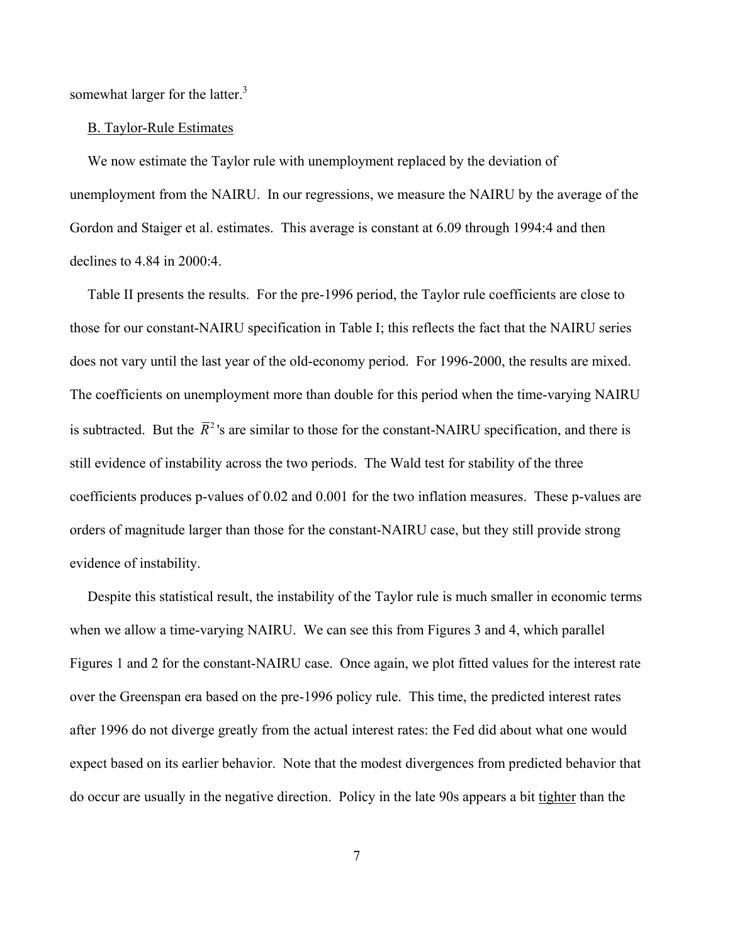somewhat larger for the latter.<sup>3</sup>

### B. Taylor-Rule Estimates

 We now estimate the Taylor rule with unemployment replaced by the deviation of unemployment from the NAIRU. In our regressions, we measure the NAIRU by the average of the Gordon and Staiger et al. estimates. This average is constant at 6.09 through 1994:4 and then declines to 4.84 in 2000:4.

 Table II presents the results. For the pre-1996 period, the Taylor rule coefficients are close to those for our constant-NAIRU specification in Table I; this reflects the fact that the NAIRU series does not vary until the last year of the old-economy period. For 1996-2000, the results are mixed. The coefficients on unemployment more than double for this period when the time-varying NAIRU is subtracted. But the  $\bar{R}^2$ 's are similar to those for the constant-NAIRU specification, and there is still evidence of instability across the two periods. The Wald test for stability of the three coefficients produces p-values of 0.02 and 0.001 for the two inflation measures. These p-values are orders of magnitude larger than those for the constant-NAIRU case, but they still provide strong evidence of instability.

 Despite this statistical result, the instability of the Taylor rule is much smaller in economic terms when we allow a time-varying NAIRU. We can see this from Figures 3 and 4, which parallel Figures 1 and 2 for the constant-NAIRU case. Once again, we plot fitted values for the interest rate over the Greenspan era based on the pre-1996 policy rule. This time, the predicted interest rates after 1996 do not diverge greatly from the actual interest rates: the Fed did about what one would expect based on its earlier behavior. Note that the modest divergences from predicted behavior that do occur are usually in the negative direction. Policy in the late 90s appears a bit tighter than the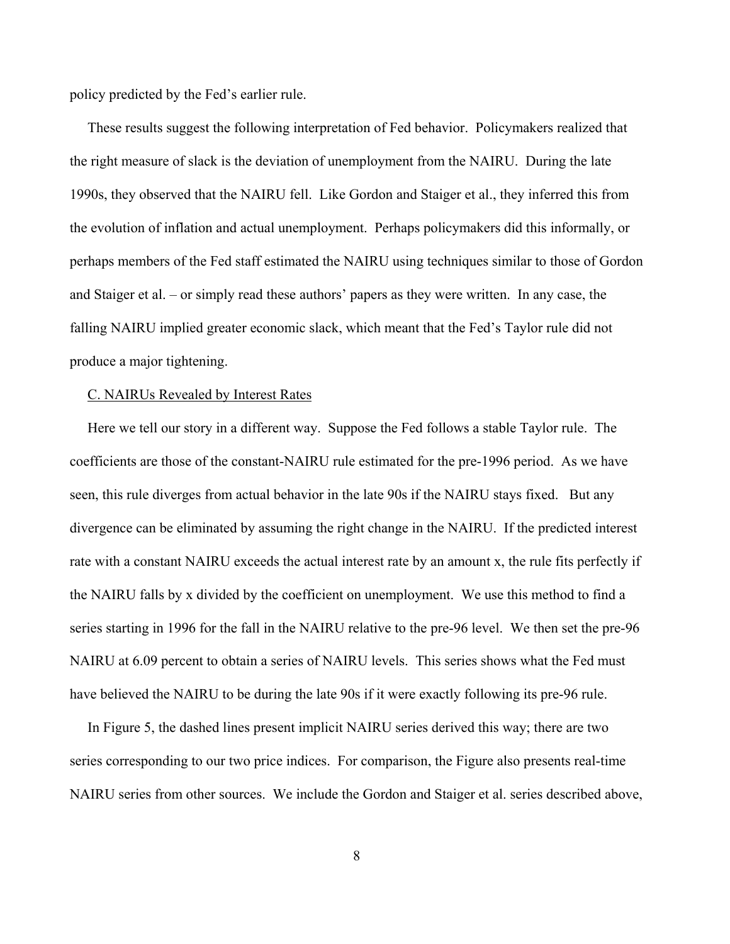policy predicted by the Fed's earlier rule.

 These results suggest the following interpretation of Fed behavior. Policymakers realized that the right measure of slack is the deviation of unemployment from the NAIRU. During the late 1990s, they observed that the NAIRU fell. Like Gordon and Staiger et al., they inferred this from the evolution of inflation and actual unemployment. Perhaps policymakers did this informally, or perhaps members of the Fed staff estimated the NAIRU using techniques similar to those of Gordon and Staiger et al. – or simply read these authors' papers as they were written. In any case, the falling NAIRU implied greater economic slack, which meant that the Fed's Taylor rule did not produce a major tightening.

### C. NAIRUs Revealed by Interest Rates

 Here we tell our story in a different way. Suppose the Fed follows a stable Taylor rule. The coefficients are those of the constant-NAIRU rule estimated for the pre-1996 period. As we have seen, this rule diverges from actual behavior in the late 90s if the NAIRU stays fixed. But any divergence can be eliminated by assuming the right change in the NAIRU. If the predicted interest rate with a constant NAIRU exceeds the actual interest rate by an amount x, the rule fits perfectly if the NAIRU falls by x divided by the coefficient on unemployment. We use this method to find a series starting in 1996 for the fall in the NAIRU relative to the pre-96 level. We then set the pre-96 NAIRU at 6.09 percent to obtain a series of NAIRU levels. This series shows what the Fed must have believed the NAIRU to be during the late 90s if it were exactly following its pre-96 rule.

 In Figure 5, the dashed lines present implicit NAIRU series derived this way; there are two series corresponding to our two price indices. For comparison, the Figure also presents real-time NAIRU series from other sources. We include the Gordon and Staiger et al. series described above,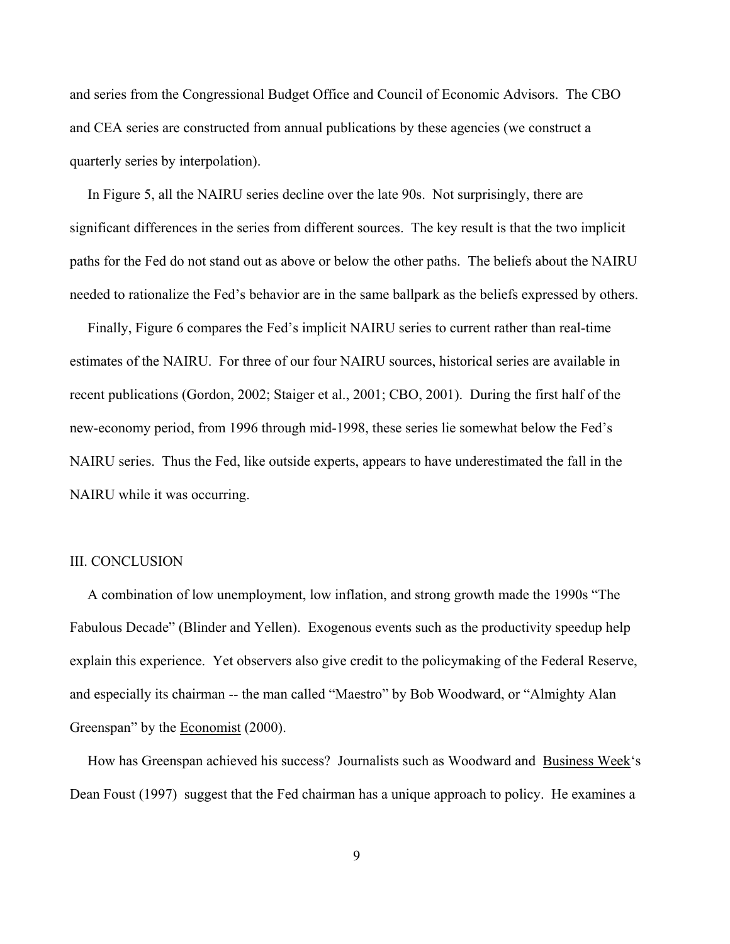and series from the Congressional Budget Office and Council of Economic Advisors. The CBO and CEA series are constructed from annual publications by these agencies (we construct a quarterly series by interpolation).

 In Figure 5, all the NAIRU series decline over the late 90s. Not surprisingly, there are significant differences in the series from different sources. The key result is that the two implicit paths for the Fed do not stand out as above or below the other paths. The beliefs about the NAIRU needed to rationalize the Fed's behavior are in the same ballpark as the beliefs expressed by others.

 Finally, Figure 6 compares the Fed's implicit NAIRU series to current rather than real-time estimates of the NAIRU. For three of our four NAIRU sources, historical series are available in recent publications (Gordon, 2002; Staiger et al., 2001; CBO, 2001). During the first half of the new-economy period, from 1996 through mid-1998, these series lie somewhat below the Fed's NAIRU series. Thus the Fed, like outside experts, appears to have underestimated the fall in the NAIRU while it was occurring.

### III. CONCLUSION

 A combination of low unemployment, low inflation, and strong growth made the 1990s "The Fabulous Decade" (Blinder and Yellen). Exogenous events such as the productivity speedup help explain this experience. Yet observers also give credit to the policymaking of the Federal Reserve, and especially its chairman -- the man called "Maestro" by Bob Woodward, or "Almighty Alan Greenspan" by the Economist (2000).

 How has Greenspan achieved his success? Journalists such as Woodward and Business Week's Dean Foust (1997) suggest that the Fed chairman has a unique approach to policy. He examines a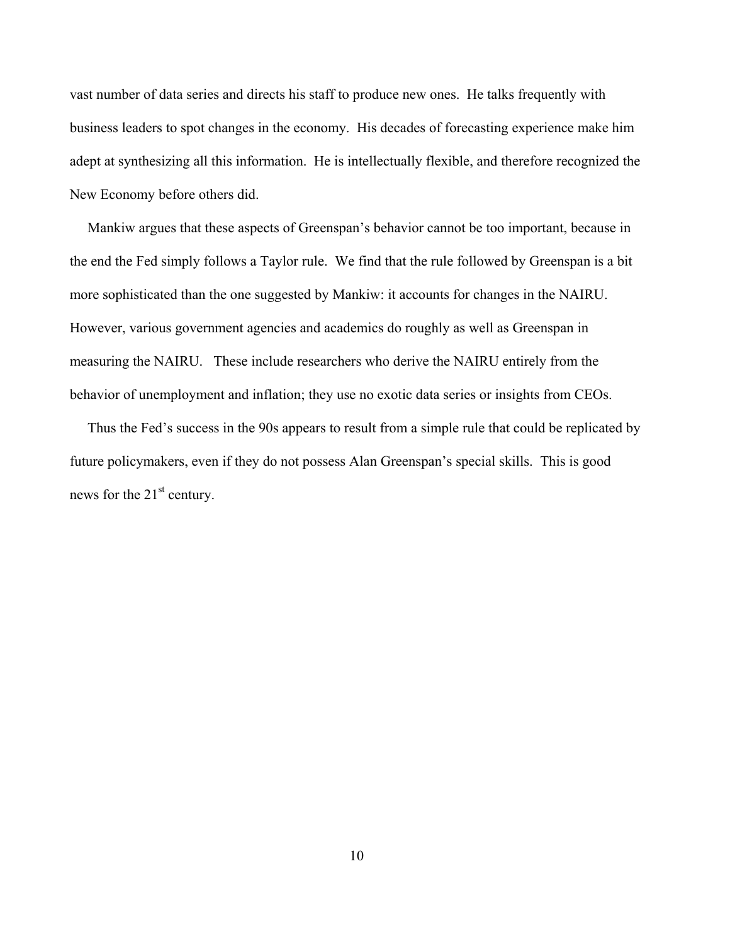vast number of data series and directs his staff to produce new ones. He talks frequently with business leaders to spot changes in the economy. His decades of forecasting experience make him adept at synthesizing all this information. He is intellectually flexible, and therefore recognized the New Economy before others did.

 Mankiw argues that these aspects of Greenspan's behavior cannot be too important, because in the end the Fed simply follows a Taylor rule. We find that the rule followed by Greenspan is a bit more sophisticated than the one suggested by Mankiw: it accounts for changes in the NAIRU. However, various government agencies and academics do roughly as well as Greenspan in measuring the NAIRU. These include researchers who derive the NAIRU entirely from the behavior of unemployment and inflation; they use no exotic data series or insights from CEOs.

 Thus the Fed's success in the 90s appears to result from a simple rule that could be replicated by future policymakers, even if they do not possess Alan Greenspan's special skills. This is good news for the 21<sup>st</sup> century.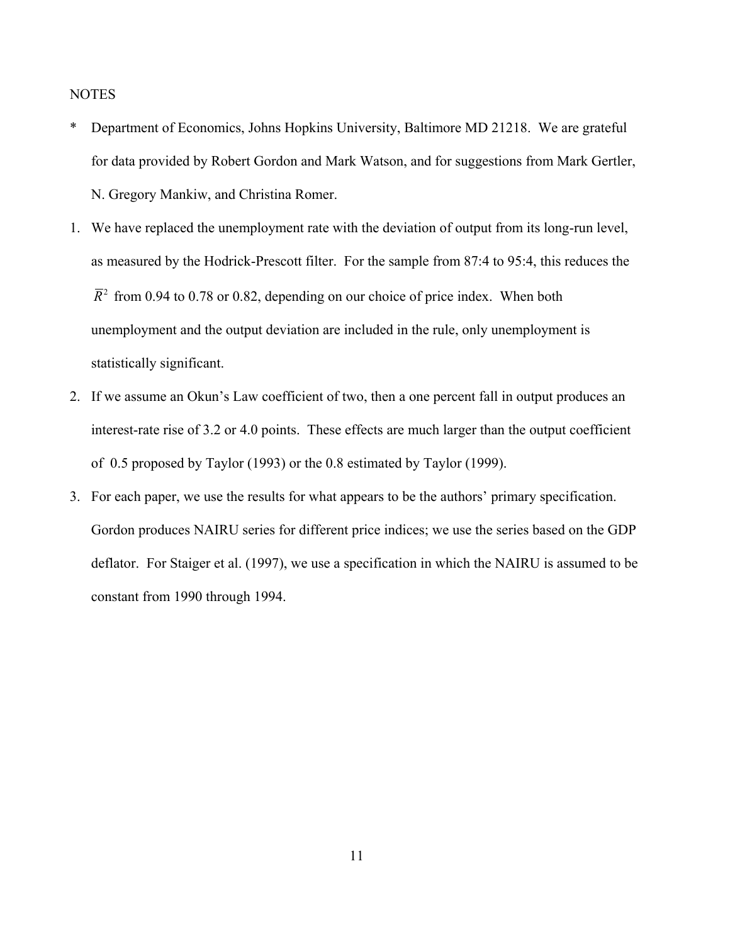**NOTES** 

- \* Department of Economics, Johns Hopkins University, Baltimore MD 21218. We are grateful for data provided by Robert Gordon and Mark Watson, and for suggestions from Mark Gertler, N. Gregory Mankiw, and Christina Romer.
- 1. We have replaced the unemployment rate with the deviation of output from its long-run level, as measured by the Hodrick-Prescott filter. For the sample from 87:4 to 95:4, this reduces the  $\overline{R}^2$  from 0.94 to 0.78 or 0.82, depending on our choice of price index. When both unemployment and the output deviation are included in the rule, only unemployment is statistically significant.
- 2. If we assume an Okun's Law coefficient of two, then a one percent fall in output produces an interest-rate rise of 3.2 or 4.0 points. These effects are much larger than the output coefficient of 0.5 proposed by Taylor (1993) or the 0.8 estimated by Taylor (1999).
- 3. For each paper, we use the results for what appears to be the authors' primary specification. Gordon produces NAIRU series for different price indices; we use the series based on the GDP deflator. For Staiger et al. (1997), we use a specification in which the NAIRU is assumed to be constant from 1990 through 1994.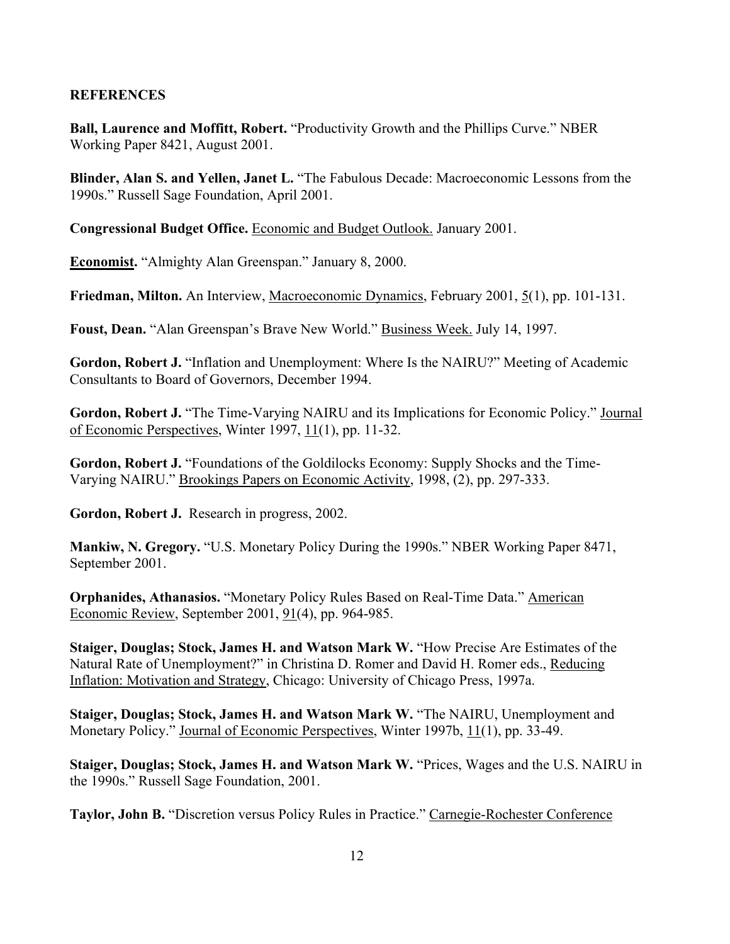# **REFERENCES**

**Ball, Laurence and Moffitt, Robert.** "Productivity Growth and the Phillips Curve." NBER Working Paper 8421, August 2001.

**Blinder, Alan S. and Yellen, Janet L.** "The Fabulous Decade: Macroeconomic Lessons from the 1990s." Russell Sage Foundation, April 2001.

**Congressional Budget Office.** Economic and Budget Outlook. January 2001.

**Economist.** "Almighty Alan Greenspan." January 8, 2000.

**Friedman, Milton.** An Interview, Macroeconomic Dynamics, February 2001, 5(1), pp. 101-131.

**Foust, Dean.** "Alan Greenspan's Brave New World." Business Week. July 14, 1997.

**Gordon, Robert J.** "Inflation and Unemployment: Where Is the NAIRU?" Meeting of Academic Consultants to Board of Governors, December 1994.

**Gordon, Robert J.** "The Time-Varying NAIRU and its Implications for Economic Policy." Journal of Economic Perspectives, Winter 1997, 11(1), pp. 11-32.

**Gordon, Robert J.** "Foundations of the Goldilocks Economy: Supply Shocks and the Time-Varying NAIRU." Brookings Papers on Economic Activity, 1998, (2), pp. 297-333.

**Gordon, Robert J.** Research in progress, 2002.

**Mankiw, N. Gregory.** "U.S. Monetary Policy During the 1990s." NBER Working Paper 8471, September 2001.

**Orphanides, Athanasios.** "Monetary Policy Rules Based on Real-Time Data." American Economic Review, September 2001, 91(4), pp. 964-985.

**Staiger, Douglas; Stock, James H. and Watson Mark W.** "How Precise Are Estimates of the Natural Rate of Unemployment?" in Christina D. Romer and David H. Romer eds., Reducing Inflation: Motivation and Strategy, Chicago: University of Chicago Press, 1997a.

**Staiger, Douglas; Stock, James H. and Watson Mark W.** "The NAIRU, Unemployment and Monetary Policy." Journal of Economic Perspectives, Winter 1997b, 11(1), pp. 33-49.

**Staiger, Douglas; Stock, James H. and Watson Mark W.** "Prices, Wages and the U.S. NAIRU in the 1990s." Russell Sage Foundation, 2001.

**Taylor, John B.** "Discretion versus Policy Rules in Practice." Carnegie-Rochester Conference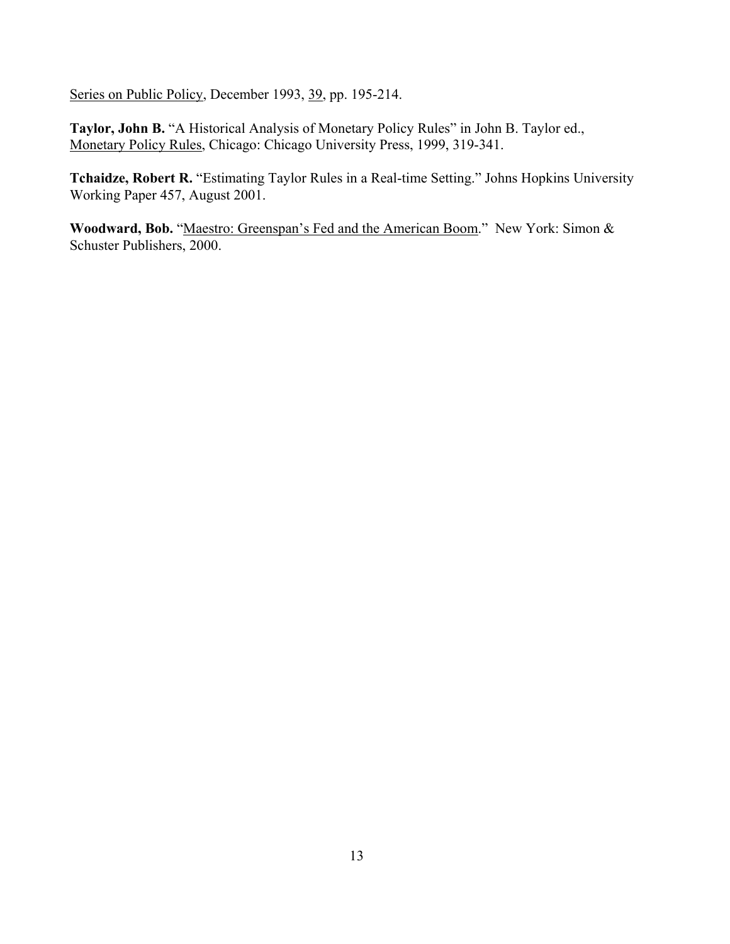Series on Public Policy, December 1993, 39, pp. 195-214.

**Taylor, John B.** "A Historical Analysis of Monetary Policy Rules" in John B. Taylor ed., Monetary Policy Rules, Chicago: Chicago University Press, 1999, 319-341.

**Tchaidze, Robert R.** "Estimating Taylor Rules in a Real-time Setting." Johns Hopkins University Working Paper 457, August 2001.

Woodward, Bob. "Maestro: Greenspan's Fed and the American Boom." New York: Simon & Schuster Publishers, 2000.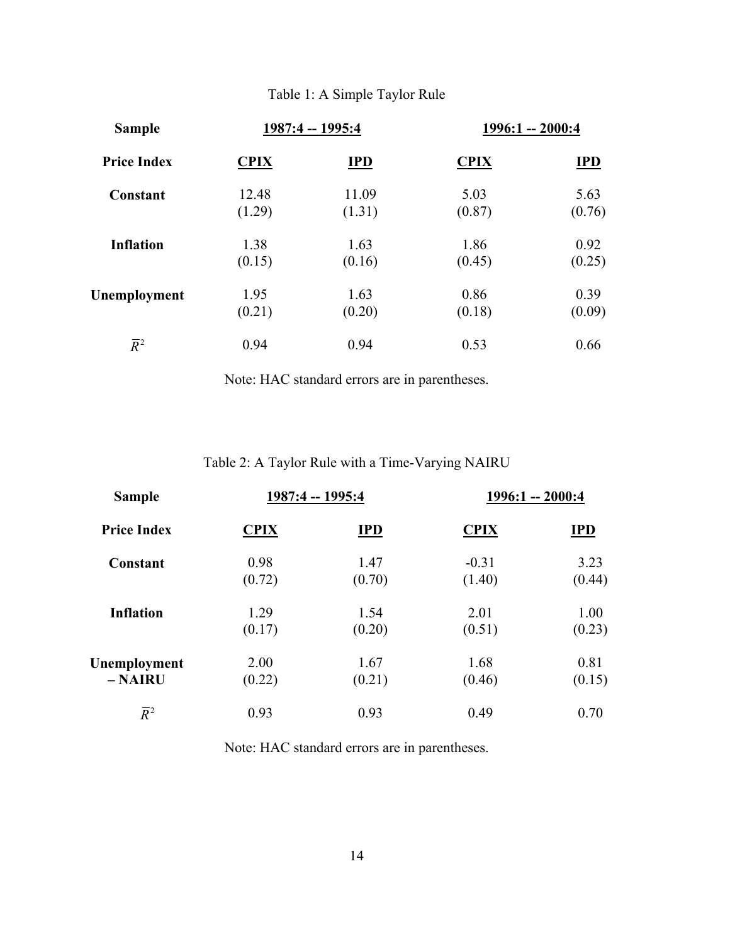# Table 1: A Simple Taylor Rule

| <b>Sample</b>      | 1987:4 -- 1995:4 |        | $1996:1 - 2000:4$ |        |
|--------------------|------------------|--------|-------------------|--------|
| <b>Price Index</b> | <b>CPIX</b>      | $IPD$  | <b>CPIX</b>       | $IPD$  |
| Constant           | 12.48            | 11.09  | 5.03              | 5.63   |
|                    | (1.29)           | (1.31) | (0.87)            | (0.76) |
| <b>Inflation</b>   | 1.38             | 1.63   | 1.86              | 0.92   |
|                    | (0.15)           | (0.16) | (0.45)            | (0.25) |
| Unemployment       | 1.95             | 1.63   | 0.86              | 0.39   |
|                    | (0.21)           | (0.20) | (0.18)            | (0.09) |
| $\overline{R}^2$   | 0.94             | 0.94   | 0.53              | 0.66   |

Note: HAC standard errors are in parentheses.

Table 2: A Taylor Rule with a Time-Varying NAIRU

| <b>Sample</b><br><b>Price Index</b> | 1987:4 -- 1995:4 |        | $1996:1 - 2000:4$ |        |
|-------------------------------------|------------------|--------|-------------------|--------|
|                                     | <b>CPIX</b>      | IPD    | <b>CPIX</b>       | IPD    |
| Constant                            | 0.98             | 1.47   | $-0.31$           | 3.23   |
|                                     | (0.72)           | (0.70) | (1.40)            | (0.44) |
| <b>Inflation</b>                    | 1.29             | 1.54   | 2.01              | 1.00   |
|                                     | (0.17)           | (0.20) | (0.51)            | (0.23) |
| Unemployment                        | 2.00             | 1.67   | 1.68              | 0.81   |
| $-$ <b>NAIRU</b>                    | (0.22)           | (0.21) | (0.46)            | (0.15) |
| $\overline{R}^2$                    | 0.93             | 0.93   | 0.49              | 0.70   |

Note: HAC standard errors are in parentheses.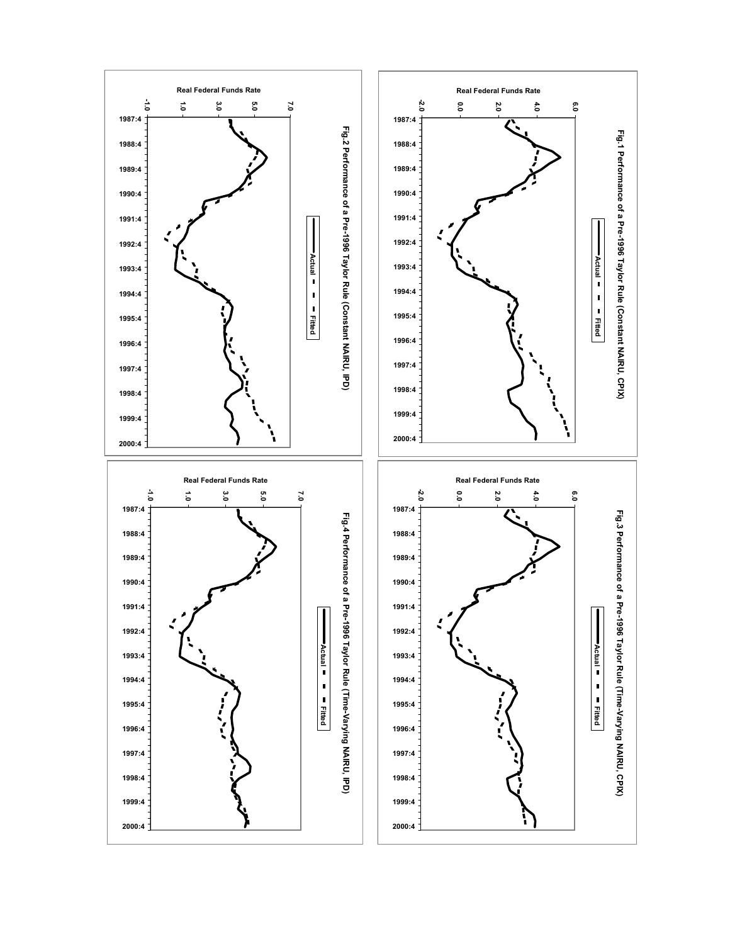